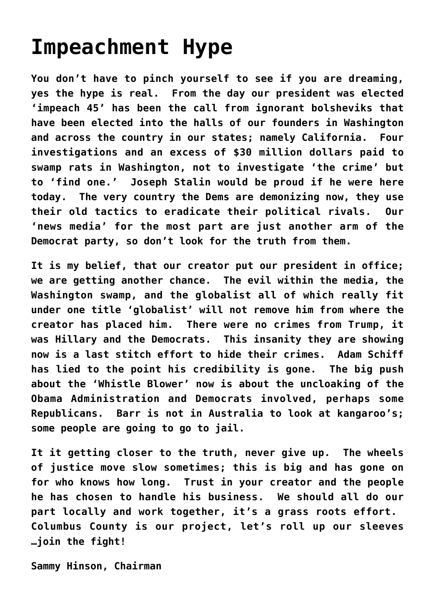## **[Impeachment Hype](https://columbuscountyconservative.com/index.php/impeachment-hype/)**

**You don't have to pinch yourself to see if you are dreaming, yes the hype is real. From the day our president was elected 'impeach 45' has been the call from ignorant bolsheviks that have been elected into the halls of our founders in Washington and across the country in our states; namely California. Four investigations and an excess of \$30 million dollars paid to swamp rats in Washington, not to investigate 'the crime' but to 'find one.' Joseph Stalin would be proud if he were here today. The very country the Dems are demonizing now, they use their old tactics to eradicate their political rivals. Our 'news media' for the most part are just another arm of the Democrat party, so don't look for the truth from them.** 

**It is my belief, that our creator put our president in office; we are getting another chance. The evil within the media, the Washington swamp, and the globalist all of which really fit under one title 'globalist' will not remove him from where the creator has placed him. There were no crimes from Trump, it was Hillary and the Democrats. This insanity they are showing now is a last stitch effort to hide their crimes. Adam Schiff has lied to the point his credibility is gone. The big push about the 'Whistle Blower' now is about the uncloaking of the Obama Administration and Democrats involved, perhaps some Republicans. Barr is not in Australia to look at kangaroo's; some people are going to go to jail.** 

**It it getting closer to the truth, never give up. The wheels of justice move slow sometimes; this is big and has gone on for who knows how long. Trust in your creator and the people he has chosen to handle his business. We should all do our part locally and work together, it's a grass roots effort. Columbus County is our project, let's roll up our sleeves …join the fight!** 

**Sammy Hinson, Chairman**